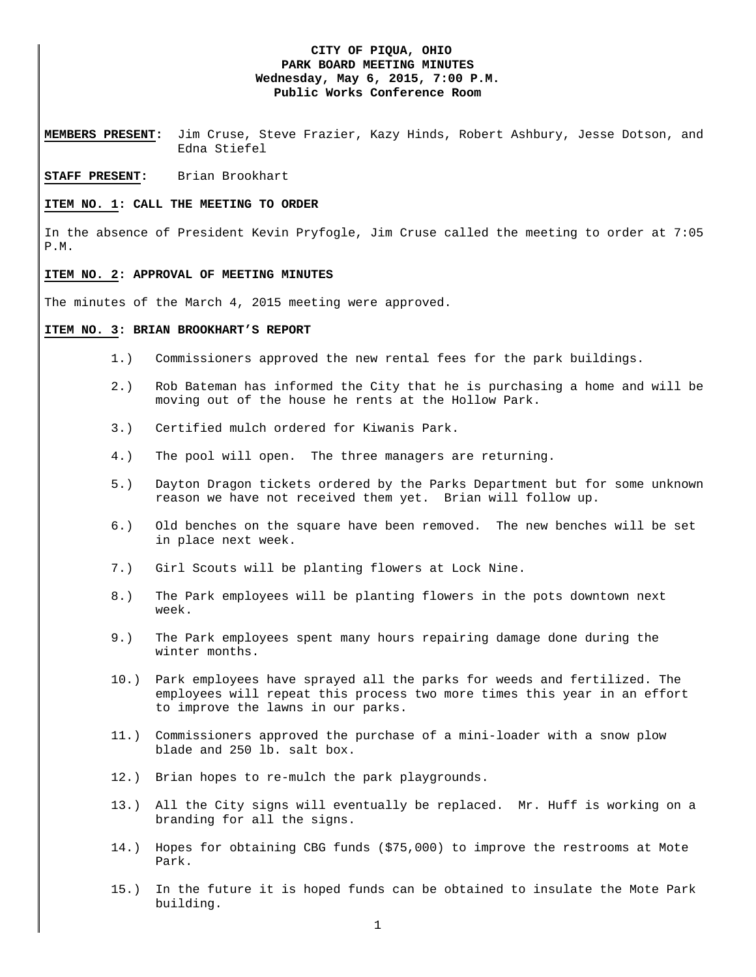## **CITY OF PIQUA, OHIO PARK BOARD MEETING MINUTES Wednesday, May 6, 2015, 7:00 P.M. Public Works Conference Room**

**MEMBERS PRESENT:** Jim Cruse, Steve Frazier, Kazy Hinds, Robert Ashbury, Jesse Dotson, and Edna Stiefel

### **STAFF PRESENT:** Brian Brookhart

#### **ITEM NO. 1: CALL THE MEETING TO ORDER**

In the absence of President Kevin Pryfogle, Jim Cruse called the meeting to order at 7:05 P.M.

# **ITEM NO. 2: APPROVAL OF MEETING MINUTES**

The minutes of the March 4, 2015 meeting were approved.

#### **ITEM NO. 3: BRIAN BROOKHART'S REPORT**

- 1.) Commissioners approved the new rental fees for the park buildings.
- 2.) Rob Bateman has informed the City that he is purchasing a home and will be moving out of the house he rents at the Hollow Park.
- 3.) Certified mulch ordered for Kiwanis Park.
- 4.) The pool will open. The three managers are returning.
- 5.) Dayton Dragon tickets ordered by the Parks Department but for some unknown reason we have not received them yet. Brian will follow up.
- 6.) Old benches on the square have been removed. The new benches will be set in place next week.
- 7.) Girl Scouts will be planting flowers at Lock Nine.
- 8.) The Park employees will be planting flowers in the pots downtown next week.
- 9.) The Park employees spent many hours repairing damage done during the winter months.
- 10.) Park employees have sprayed all the parks for weeds and fertilized. The employees will repeat this process two more times this year in an effort to improve the lawns in our parks.
- 11.) Commissioners approved the purchase of a mini-loader with a snow plow blade and 250 lb. salt box.
- 12.) Brian hopes to re-mulch the park playgrounds.
- 13.) All the City signs will eventually be replaced. Mr. Huff is working on a branding for all the signs.
- 14.) Hopes for obtaining CBG funds (\$75,000) to improve the restrooms at Mote Park.
- 15.) In the future it is hoped funds can be obtained to insulate the Mote Park building.